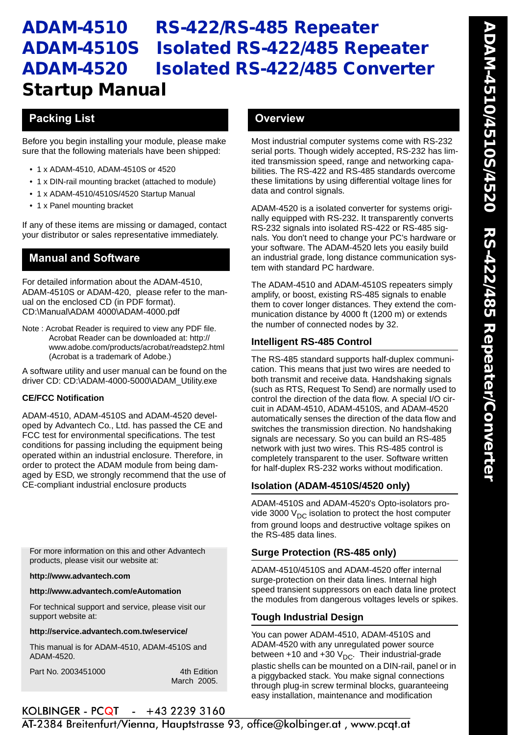# **ADAM-4510 RS-422/RS-485 Repeater ADAM-4510S Isolated RS-422/485 Repeater ADAM-4520 Isolated RS-422/485 Converter Startup Manual**

## **Packing List COVERENT COVERENT COVERENT COVERENT COVERENT COVERENT COVERENT COVERENT COVERENT COVERENT COVERENT COVERENT COVERENT COVERENT COVERENT COVERENT COVERENT COVERENT COVERENT COVERENT COVERENT COVERENT COVERENT**

Before you begin installing your module, please make sure that the following materials have been shipped:

- 1 x ADAM-4510, ADAM-4510S or 4520
- 1 x DIN-rail mounting bracket (attached to module)
- 1 x ADAM-4510/4510S/4520 Startup Manual
- 1 x Panel mounting bracket

If any of these items are missing or damaged, contact your distributor or sales representative immediately.

## **Manual and Software**

For detailed information about the ADAM-4510, ADAM-4510S or ADAM-420, please refer to the manual on the enclosed CD (in PDF format). CD:\Manual\ADAM 4000\ADAM-4000.pdf

Note : Acrobat Reader is required to view any PDF file. Acrobat Reader can be downloaded at: http:// www.adobe.com/products/acrobat/readstep2.html (Acrobat is a trademark of Adobe.)

A software utility and user manual can be found on the driver CD: CD:\ADAM-4000-5000\ADAM\_Utility.exe

#### **CE/FCC Notification**

ADAM-4510, ADAM-4510S and ADAM-4520 developed by Advantech Co., Ltd. has passed the CE and FCC test for environmental specifications. The test conditions for passing including the equipment being operated within an industrial enclosure. Therefore, in order to protect the ADAM module from being damaged by ESD, we strongly recommend that the use of CE-compliant industrial enclosure products

For more information on this and other Advantech products, please visit our website at:

#### **http://www.advantech.com**

#### **http://www.advantech.com/eAutomation**

For technical support and service, please visit our support website at:

#### **http://service.advantech.com.tw/eservice/**

This manual is for ADAM-4510, ADAM-4510S and ADAM-4520.

Part No. 2003451000 4th Edition

March 2005.

Most industrial computer systems come with RS-232 serial ports. Though widely accepted, RS-232 has limited transmission speed, range and networking capabilities. The RS-422 and RS-485 standards overcome these limitations by using differential voltage lines for data and control signals.

ADAM-4520 is a isolated converter for systems originally equipped with RS-232. It transparently converts RS-232 signals into isolated RS-422 or RS-485 signals. You don't need to change your PC's hardware or your software. The ADAM-4520 lets you easily build an industrial grade, long distance communication system with standard PC hardware.

The ADAM-4510 and ADAM-4510S repeaters simply amplify, or boost, existing RS-485 signals to enable them to cover longer distances. They extend the communication distance by 4000 ft (1200 m) or extends the number of connected nodes by 32.

#### **Intelligent RS-485 Control**

The RS-485 standard supports half-duplex communication. This means that just two wires are needed to both transmit and receive data. Handshaking signals (such as RTS, Request To Send) are normally used to control the direction of the data flow. A special I/O circuit in ADAM-4510, ADAM-4510S, and ADAM-4520 automatically senses the direction of the data flow and switches the transmission direction. No handshaking signals are necessary. So you can build an RS-485 network with just two wires. This RS-485 control is completely transparent to the user. Software written for half-duplex RS-232 works without modification.

## **Isolation (ADAM-4510S/4520 only)**

ADAM-4510S and ADAM-4520's Opto-isolators provide 3000  $V_{\text{DC}}$  isolation to protect the host computer from ground loops and destructive voltage spikes on the RS-485 data lines.

### **Surge Protection (RS-485 only)**

ADAM-4510/4510S and ADAM-4520 offer internal surge-protection on their data lines. Internal high speed transient suppressors on each data line protect the modules from dangerous voltages levels or spikes.

#### **Tough Industrial Design**

You can power ADAM-4510, ADAM-4510S and ADAM-4520 with any unregulated power source between +10 and +30  $V_{DC}$ . Their industrial-grade plastic shells can be mounted on a DIN-rail, panel or in a piggybacked stack. You make signal connections through plug-in screw terminal blocks, guaranteeing easy installation, maintenance and modification

## *1 ADAM-4510/4510S/4520 Startup Manual*

AT-2384 Breitenfurt/Vienna, Hauptstrasse 93, office@kolbinger.at, www.pcqt.at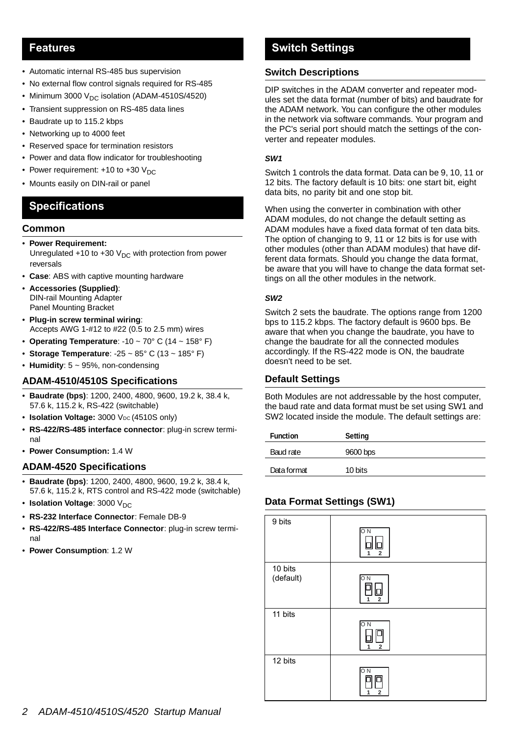### **Features**

- Automatic internal RS-485 bus supervision
- No external flow control signals required for RS-485
- Minimum 3000  $V_{DC}$  isolation (ADAM-4510S/4520)
- Transient suppression on RS-485 data lines
- Baudrate up to 115.2 kbps
- Networking up to 4000 feet
- Reserved space for termination resistors
- Power and data flow indicator for troubleshooting
- Power requirement:  $+10$  to  $+30$  V<sub>DC</sub>
- Mounts easily on DIN-rail or panel

## **Specifications**

#### **Common**

- **Power Requirement:** Unregulated +10 to +30  $V_{DC}$  with protection from power reversals
- **Case**: ABS with captive mounting hardware
- **Accessories (Supplied)**: DIN-rail Mounting Adapter Panel Mounting Bracket
- **Plug-in screw terminal wiring**: Accepts AWG 1-#12 to #22 (0.5 to 2.5 mm) wires
- **Operating Temperature**: -10 ~ 70° C (14 ~ 158° F)
- **Storage Temperature**: -25 ~ 85° C (13 ~ 185° F)
- **Humidity**: 5 ~ 95%, non-condensing

#### **ADAM-4510/4510S Specifications**

- **Baudrate (bps)**: 1200, 2400, 4800, 9600, 19.2 k, 38.4 k, 57.6 k, 115.2 k, RS-422 (switchable)
- **Isolation Voltage:** 3000 V<sub>DC</sub> (4510S only)
- **RS-422/RS-485 interface connector**: plug-in screw terminal
- **Power Consumption:** 1.4 W

#### **ADAM-4520 Specifications**

- **Baudrate (bps)**: 1200, 2400, 4800, 9600, 19.2 k, 38.4 k, 57.6 k, 115.2 k, RTS control and RS-422 mode (switchable)
- **Isolation Voltage**: 3000 V<sub>DC</sub>
- **RS-232 Interface Connector**: Female DB-9
- **RS-422/RS-485 Interface Connector**: plug-in screw terminal
- **Power Consumption**: 1.2 W

## **Switch Settings**

#### **Switch Descriptions**

DIP switches in the ADAM converter and repeater modules set the data format (number of bits) and baudrate for the ADAM network. You can configure the other modules in the network via software commands. Your program and the PC's serial port should match the settings of the converter and repeater modules.

#### *SW1*

Switch 1 controls the data format. Data can be 9, 10, 11 or 12 bits. The factory default is 10 bits: one start bit, eight data bits, no parity bit and one stop bit.

When using the converter in combination with other ADAM modules, do not change the default setting as ADAM modules have a fixed data format of ten data bits. The option of changing to 9, 11 or 12 bits is for use with other modules (other than ADAM modules) that have different data formats. Should you change the data format, be aware that you will have to change the data format settings on all the other modules in the network.

#### *SW2*

Switch 2 sets the baudrate. The options range from 1200 bps to 115.2 kbps. The factory default is 9600 bps. Be aware that when you change the baudrate, you have to change the baudrate for all the connected modules accordingly. If the RS-422 mode is ON, the baudrate doesn't need to be set.

#### **Default Settings**

Both Modules are not addressable by the host computer, the baud rate and data format must be set using SW1 and SW2 located inside the module. The default settings are:

| <b>Function</b> | Setting  |
|-----------------|----------|
| Baud rate       | 9600 bps |
| Data format     | 10 bits  |

### **Data Format Settings (SW1)**

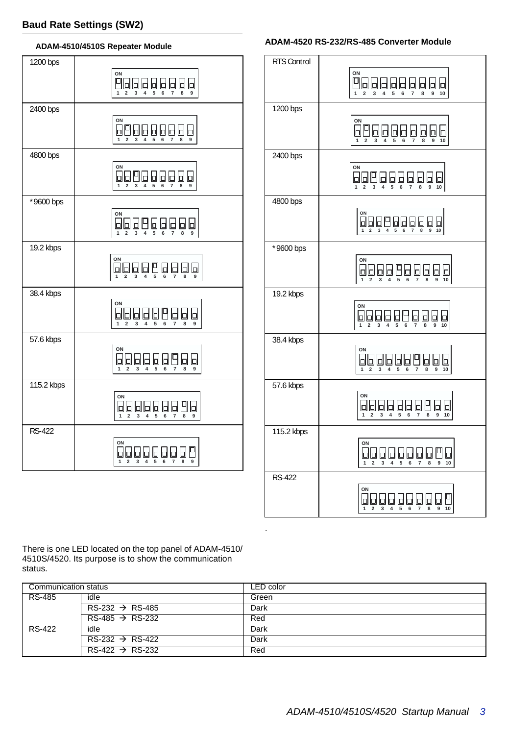#### **ADAM-4510/4510S Repeater Module**



#### RTS Control 1200 bps 2400 bps 4800 bps \*9600 bps 19.2 kbps 38.4 kbps 57.6 kbps 115.2 kbps RS-422 **1 2 3 4 5 6 7 8** <u>...</u><br>Pooraaraa **9 10 1 2 3 4 5 6 7 8 ON 9 10 2 4 ON 1 2 3 4 5 6 7 8 9 10 1 2 3 4 5 6 7 8 ON 9 10 1 2 3 4 5 6 7 8 ON 9 10 1 2 3 4 5 6 7 8 OOOOO0000 9 10 1 2 3 4 5 6 7 8 9 10 OOOOOOOOO 1 2 3 4 5 6 7 8 ON 9 10**  $\frac{1}{6}$   $\frac{1}{7}$ **OOOOOOOO**O **9 10 1 2 3 4 5 6 7 8 ON 9 10**

**ADAM-4520 RS-232/RS-485 Converter Module**

There is one LED located on the top panel of ADAM-4510/ 4510S/4520. Its purpose is to show the communication status.

| Communication status |                             | LED color |
|----------------------|-----------------------------|-----------|
| RS-485               | idle                        | Green     |
|                      | $RS-232 \rightarrow RS-485$ | Dark      |
|                      | $RS-485 \rightarrow RS-232$ | Red       |
| RS-422               | idle                        | Dark      |
|                      | $RS-232 \rightarrow RS-422$ | Dark      |
|                      | $RS-422 \rightarrow RS-232$ | Red       |

.

|    | vи<br>000000000 |  |  |
|----|-----------------|--|--|
|    |                 |  |  |
|    |                 |  |  |
| λL |                 |  |  |
|    |                 |  |  |
|    |                 |  |  |
|    |                 |  |  |
|    |                 |  |  |
|    |                 |  |  |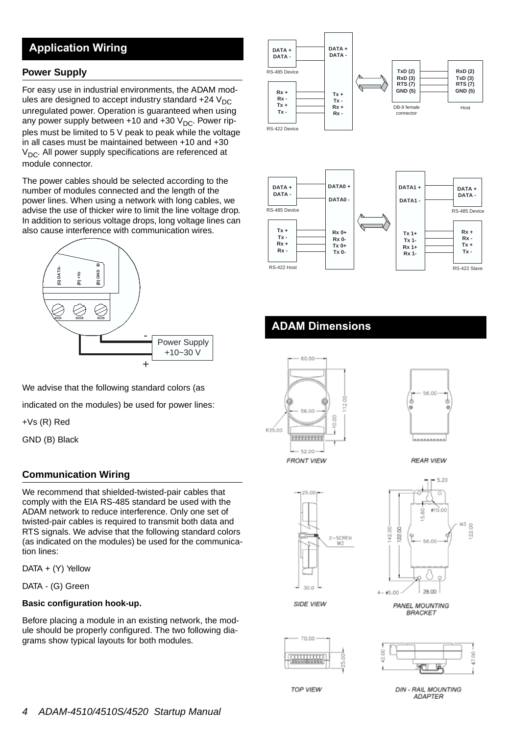## **Application Wiring**

#### **Power Supply**

For easy use in industrial environments, the ADAM modules are designed to accept industry standard  $+24$  V<sub>DC</sub> unregulated power. Operation is guaranteed when using any power supply between +10 and +30  $V_{DC}$ . Power ripples must be limited to 5 V peak to peak while the voltage in all cases must be maintained between +10 and +30  $V_{\text{DC}}$ . All power supply specifications are referenced at module connector.

The power cables should be selected according to the number of modules connected and the length of the power lines. When using a network with long cables, we advise the use of thicker wire to limit the line voltage drop. In addition to serious voltage drops, long voltage lines can also cause interference with communication wires.



We advise that the following standard colors (as

indicated on the modules) be used for power lines:

+Vs (R) Red

GND (B) Black

#### **Communication Wiring**

We recommend that shielded-twisted-pair cables that comply with the EIA RS-485 standard be used with the ADAM network to reduce interference. Only one set of twisted-pair cables is required to transmit both data and RTS signals. We advise that the following standard colors (as indicated on the modules) be used for the communication lines:

DATA + (Y) Yellow

DATA - (G) Green

#### **Basic configuration hook-up.**

Before placing a module in an existing network, the module should be properly configured. The two following diagrams show typical layouts for both modules.





## **ADAM Dimensions**





**REAR VIEW** 





SIDE VIEW

**PANEL MOUNTING BRACKET** 





**TOP VIEW** 

**DIN - RAIL MOUNTING** ADAPTER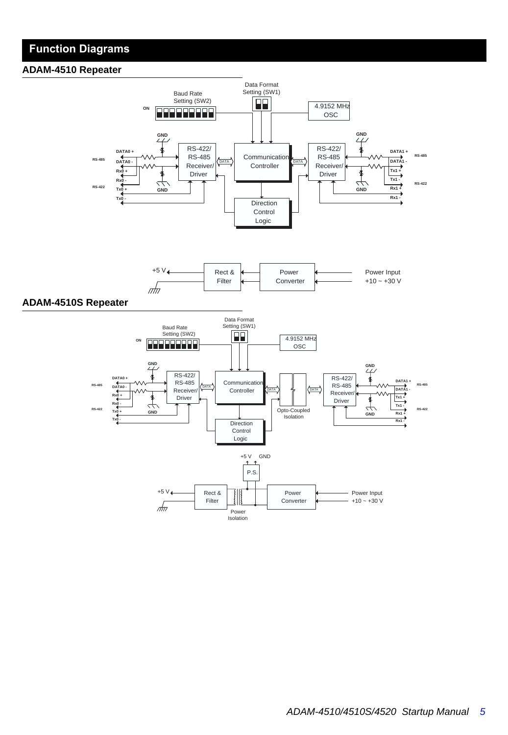## **Function Diagrams**

#### **ADAM-4510 Repeater**





#### **ADAM-4510S Repeater**